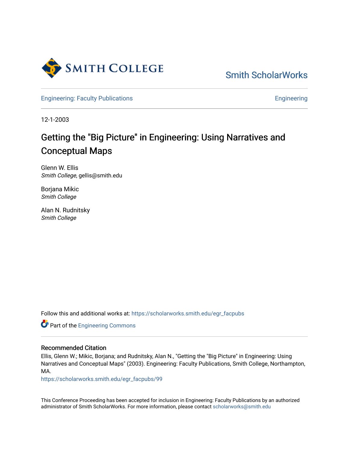

[Smith ScholarWorks](https://scholarworks.smith.edu/) 

[Engineering: Faculty Publications](https://scholarworks.smith.edu/egr_facpubs) **Engineering** 

12-1-2003

# Getting the "Big Picture" in Engineering: Using Narratives and Conceptual Maps

Glenn W. Ellis Smith College, gellis@smith.edu

Borjana Mikic Smith College

Alan N. Rudnitsky Smith College

Follow this and additional works at: [https://scholarworks.smith.edu/egr\\_facpubs](https://scholarworks.smith.edu/egr_facpubs?utm_source=scholarworks.smith.edu%2Fegr_facpubs%2F99&utm_medium=PDF&utm_campaign=PDFCoverPages) 

**Part of the [Engineering Commons](http://network.bepress.com/hgg/discipline/217?utm_source=scholarworks.smith.edu%2Fegr_facpubs%2F99&utm_medium=PDF&utm_campaign=PDFCoverPages)** 

#### Recommended Citation

Ellis, Glenn W.; Mikic, Borjana; and Rudnitsky, Alan N., "Getting the "Big Picture" in Engineering: Using Narratives and Conceptual Maps" (2003). Engineering: Faculty Publications, Smith College, Northampton, MA.

[https://scholarworks.smith.edu/egr\\_facpubs/99](https://scholarworks.smith.edu/egr_facpubs/99?utm_source=scholarworks.smith.edu%2Fegr_facpubs%2F99&utm_medium=PDF&utm_campaign=PDFCoverPages)

This Conference Proceeding has been accepted for inclusion in Engineering: Faculty Publications by an authorized administrator of Smith ScholarWorks. For more information, please contact [scholarworks@smith.edu](mailto:scholarworks@smith.edu)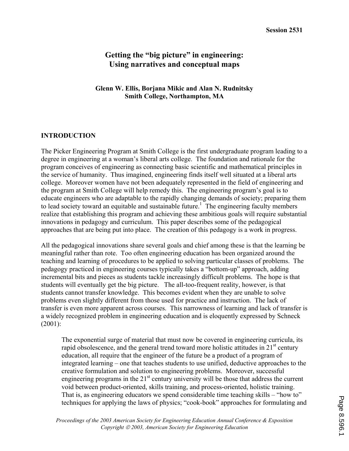# **Getting the "big picture" in engineering: Using narratives and conceptual maps**

#### **Glenn W. Ellis, Borjana Mikic and Alan N. Rudnitsky Smith College, Northampton, MA**

## **INTRODUCTION**

The Picker Engineering Program at Smith College is the first undergraduate program leading to a degree in engineering at a woman's liberal arts college. The foundation and rationale for the program conceives of engineering as connecting basic scientific and mathematical principles in the service of humanity. Thus imagined, engineering finds itself well situated at a liberal arts college. Moreover women have not been adequately represented in the field of engineering and the program at Smith College will help remedy this. The engineering program's goal is to educate engineers who are adaptable to the rapidly changing demands of society; preparing them to lead society toward an equitable and sustainable future.<sup>1</sup> The engineering faculty members realize that establishing this program and achieving these ambitious goals will require substantial innovations in pedagogy and curriculum. This paper describes some of the pedagogical approaches that are being put into place. The creation of this pedagogy is a work in progress.

All the pedagogical innovations share several goals and chief among these is that the learning be meaningful rather than rote. Too often engineering education has been organized around the teaching and learning of procedures to be applied to solving particular classes of problems. The pedagogy practiced in engineering courses typically takes a "bottom-up" approach, adding incremental bits and pieces as students tackle increasingly difficult problems. The hope is that students will eventually get the big picture. The all-too-frequent reality, however, is that students cannot transfer knowledge. This becomes evident when they are unable to solve problems even slightly different from those used for practice and instruction. The lack of transfer is even more apparent across courses. This narrowness of learning and lack of transfer is a widely recognized problem in engineering education and is eloquently expressed by Schneck (2001):

The exponential surge of material that must now be covered in engineering curricula, its rapid obsolescence, and the general trend toward more holistic attitudes in  $21<sup>st</sup>$  century education, all require that the engineer of the future be a product of a program of integrated learning – one that teaches students to use unified, deductive approaches to the creative formulation and solution to engineering problems. Moreover, successful engineering programs in the  $21<sup>st</sup>$  century university will be those that address the current void between product-oriented, skills training, and process-oriented, holistic training. That is, as engineering educators we spend considerable time teaching skills – "how to" techniques for applying the laws of physics; "cook-book" approaches for formulating and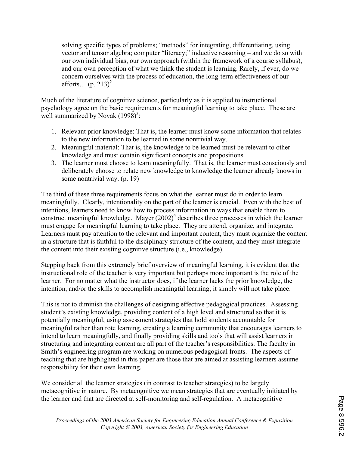solving specific types of problems; "methods" for integrating, differentiating, using vector and tensor algebra; computer "literacy;" inductive reasoning – and we do so with our own individual bias, our own approach (within the framework of a course syllabus), and our own perception of what we think the student is learning. Rarely, if ever, do we concern ourselves with the process of education, the long-term effectiveness of our efforts...  $(p. 213)^2$ 

Much of the literature of cognitive science, particularly as it is applied to instructional psychology agree on the basic requirements for meaningful learning to take place. These are well summarized by Novak  $(1998)^3$ :

- 1. Relevant prior knowledge: That is, the learner must know some information that relates to the new information to be learned in some nontrivial way.
- 2. Meaningful material: That is, the knowledge to be learned must be relevant to other knowledge and must contain significant concepts and propositions.
- 3. The learner must choose to learn meaningfully. That is, the learner must consciously and deliberately choose to relate new knowledge to knowledge the learner already knows in some nontrivial way. (p. 19)

The third of these three requirements focus on what the learner must do in order to learn meaningfully. Clearly, intentionality on the part of the learner is crucial. Even with the best of intentions, learners need to know how to process information in ways that enable them to construct meaningful knowledge. Mayer  $(2002)^4$  describes three processes in which the learner must engage for meaningful learning to take place. They are attend, organize, and integrate. Learners must pay attention to the relevant and important content, they must organize the content in a structure that is faithful to the disciplinary structure of the content, and they must integrate the content into their existing cognitive structure (i.e., knowledge).

Stepping back from this extremely brief overview of meaningful learning, it is evident that the instructional role of the teacher is very important but perhaps more important is the role of the learner. For no matter what the instructor does, if the learner lacks the prior knowledge, the intention, and/or the skills to accomplish meaningful learning; it simply will not take place.

This is not to diminish the challenges of designing effective pedagogical practices. Assessing student's existing knowledge, providing content of a high level and structured so that it is potentially meaningful, using assessment strategies that hold students accountable for meaningful rather than rote learning, creating a learning community that encourages learners to intend to learn meaningfully, and finally providing skills and tools that will assist learners in structuring and integrating content are all part of the teacher's responsibilities. The faculty in Smith's engineering program are working on numerous pedagogical fronts. The aspects of teaching that are highlighted in this paper are those that are aimed at assisting learners assume responsibility for their own learning.

We consider all the learner strategies (in contrast to teacher strategies) to be largely metacognitive in nature. By metacognitive we mean strategies that are eventually initiated by the learner and that are directed at self-monitoring and self-regulation. A metacognitive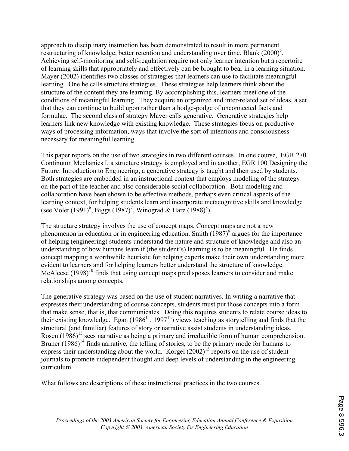approach to disciplinary instruction has been demonstrated to result in more permanent restructuring of knowledge, better retention and understanding over time, Blank  $(2000)^5$ . Achieving self-monitoring and self-regulation require not only learner intention but a repertoire of learning skills that appropriately and effectively can be brought to bear in a learning situation. Mayer (2002) identifies two classes of strategies that learners can use to facilitate meaningful learning. One he calls structure strategies. These strategies help learners think about the structure of the content they are learning. By accomplishing this, learners meet one of the conditions of meaningful learning. They acquire an organized and inter-related set of ideas, a set that they can continue to build upon rather than a hodge-podge of unconnected facts and formulae. The second class of strategy Mayer calls generative. Generative strategies help learners link new knowledge with existing knowledge. These strategies focus on productive ways of processing information, ways that involve the sort of intentions and consciousness necessary for meaningful learning.

This paper reports on the use of two strategies in two different courses. In one course, EGR 270 Continuum Mechanics I, a structure strategy is employed and in another, EGR 100 Designing the Future: Introduction to Engineering, a generative strategy is taught and then used by students. Both strategies are embedded in an instructional context that employs modeling of the strategy on the part of the teacher and also considerable social collaboration. Both modeling and collaboration have been shown to be effective methods, perhaps even critical aspects of the learning context, for helping students learn and incorporate metacognitive skills and knowledge (see Volet  $(1991)^6$ , Biggs  $(1987)^7$ , Winograd & Hare  $(1988)^8$ ).

The structure strategy involves the use of concept maps. Concept maps are not a new phenomenon in education or in engineering education. Smith  $(1987)^\circ$  argues for the importance of helping (engineering) students understand the nature and structure of knowledge and also an understanding of how humans learn if (the student's) learning is to be meaningful. He finds concept mapping a worthwhile heuristic for helping experts make their own understanding more evident to learners and for helping learners better understand the structure of knowledge. McAleese  $(1998)^{10}$  finds that using concept maps predisposes learners to consider and make relationships among concepts.

The generative strategy was based on the use of student narratives. In writing a narrative that expresses their understanding of course concepts, students must put those concepts into a form that make sense, that is, that communicates. Doing this requires students to relate course ideas to their existing knowledge. Egan  $(1986^{11}, 1997^{12})$  views teaching as storytelling and finds that the structural (and familiar) features of story or narrative assist students in understanding ideas. Rosen  $(1986)^{13}$  sees narrative as being a primary and irreducible form of human comprehension. Bruner  $(1986)^{14}$  finds narrative, the telling of stories, to be the primary mode for humans to express their understanding about the world. Korgel  $(2002)^{15}$  reports on the use of student journals to promote independent thought and deep levels of understanding in the engineering curriculum.

What follows are descriptions of these instructional practices in the two courses.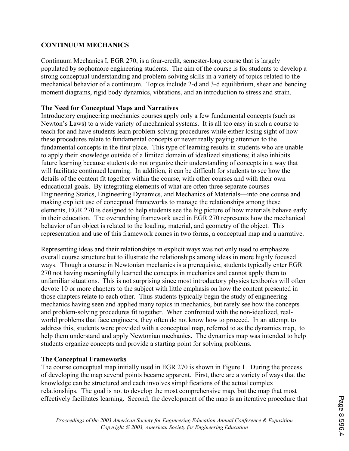## **CONTINUUM MECHANICS**

Continuum Mechanics I, EGR 270, is a four-credit, semester-long course that is largely populated by sophomore engineering students. The aim of the course is for students to develop a strong conceptual understanding and problem-solving skills in a variety of topics related to the mechanical behavior of a continuum. Topics include 2-d and 3-d equilibrium, shear and bending moment diagrams, rigid body dynamics, vibrations, and an introduction to stress and strain.

## **The Need for Conceptual Maps and Narratives**

Introductory engineering mechanics courses apply only a few fundamental concepts (such as Newton's Laws) to a wide variety of mechanical systems. It is all too easy in such a course to teach for and have students learn problem-solving procedures while either losing sight of how these procedures relate to fundamental concepts or never really paying attention to the fundamental concepts in the first place. This type of learning results in students who are unable to apply their knowledge outside of a limited domain of idealized situations; it also inhibits future learning because students do not organize their understanding of concepts in a way that will facilitate continued learning. In addition, it can be difficult for students to see how the details of the content fit together within the course, with other courses and with their own educational goals. By integrating elements of what are often three separate courses— Engineering Statics, Engineering Dynamics, and Mechanics of Materials—into one course and making explicit use of conceptual frameworks to manage the relationships among these elements, EGR 270 is designed to help students see the big picture of how materials behave early in their education. The overarching framework used in EGR 270 represents how the mechanical behavior of an object is related to the loading, material, and geometry of the object. This representation and use of this framework comes in two forms, a conceptual map and a narrative.

Representing ideas and their relationships in explicit ways was not only used to emphasize overall course structure but to illustrate the relationships among ideas in more highly focused ways. Though a course in Newtonian mechanics is a prerequisite, students typically enter EGR 270 not having meaningfully learned the concepts in mechanics and cannot apply them to unfamiliar situations. This is not surprising since most introductory physics textbooks will often devote 10 or more chapters to the subject with little emphasis on how the content presented in those chapters relate to each other. Thus students typically begin the study of engineering mechanics having seen and applied many topics in mechanics, but rarely see how the concepts and problem-solving procedures fit together. When confronted with the non-idealized, realworld problems that face engineers, they often do not know how to proceed. In an attempt to address this, students were provided with a conceptual map, referred to as the dynamics map, to help them understand and apply Newtonian mechanics. The dynamics map was intended to help students organize concepts and provide a starting point for solving problems.

#### **The Conceptual Frameworks**

The course conceptual map initially used in EGR 270 is shown in Figure 1. During the process of developing the map several points became apparent. First, there are a variety of ways that the knowledge can be structured and each involves simplifications of the actual complex relationships. The goal is not to develop the most comprehensive map, but the map that most effectively facilitates learning. Second, the development of the map is an iterative procedure that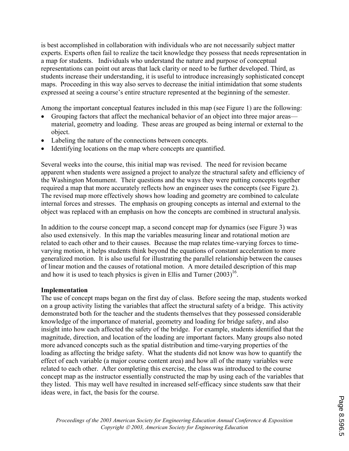is best accomplished in collaboration with individuals who are not necessarily subject matter experts. Experts often fail to realize the tacit knowledge they possess that needs representation in a map for students. Individuals who understand the nature and purpose of conceptual representations can point out areas that lack clarity or need to be further developed. Third, as students increase their understanding, it is useful to introduce increasingly sophisticated concept maps. Proceeding in this way also serves to decrease the initial intimidation that some students expressed at seeing a course's entire structure represented at the beginning of the semester.

Among the important conceptual features included in this map (see Figure 1) are the following:

- Grouping factors that affect the mechanical behavior of an object into three major areas material, geometry and loading. These areas are grouped as being internal or external to the object.
- Labeling the nature of the connections between concepts.
- Identifying locations on the map where concepts are quantified.

Several weeks into the course, this initial map was revised. The need for revision became apparent when students were assigned a project to analyze the structural safety and efficiency of the Washington Monument. Their questions and the ways they were putting concepts together required a map that more accurately reflects how an engineer uses the concepts (see Figure 2). The revised map more effectively shows how loading and geometry are combined to calculate internal forces and stresses. The emphasis on grouping concepts as internal and external to the object was replaced with an emphasis on how the concepts are combined in structural analysis.

In addition to the course concept map, a second concept map for dynamics (see Figure 3) was also used extensively. In this map the variables measuring linear and rotational motion are related to each other and to their causes. Because the map relates time-varying forces to timevarying motion, it helps students think beyond the equations of constant acceleration to more generalized motion. It is also useful for illustrating the parallel relationship between the causes of linear motion and the causes of rotational motion. A more detailed description of this map and how it is used to teach physics is given in Ellis and Turner  $(2003)^{16}$ .

#### **Implementation**

The use of concept maps began on the first day of class. Before seeing the map, students worked on a group activity listing the variables that affect the structural safety of a bridge. This activity demonstrated both for the teacher and the students themselves that they possessed considerable knowledge of the importance of material, geometry and loading for bridge safety, and also insight into how each affected the safety of the bridge. For example, students identified that the magnitude, direction, and location of the loading are important factors. Many groups also noted more advanced concepts such as the spatial distribution and time-varying properties of the loading as affecting the bridge safety. What the students did not know was how to quantify the effect of each variable (a major course content area) and how all of the many variables were related to each other. After completing this exercise, the class was introduced to the course concept map as the instructor essentially constructed the map by using each of the variables that they listed. This may well have resulted in increased self-efficacy since students saw that their ideas were, in fact, the basis for the course.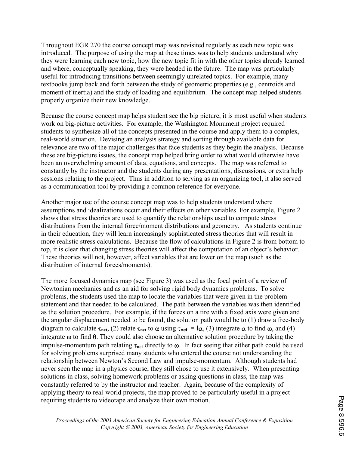Throughout EGR 270 the course concept map was revisited regularly as each new topic was introduced. The purpose of using the map at these times was to help students understand why they were learning each new topic, how the new topic fit in with the other topics already learned and where, conceptually speaking, they were headed in the future. The map was particularly useful for introducing transitions between seemingly unrelated topics. For example, many textbooks jump back and forth between the study of geometric properties (e.g., centroids and moment of inertia) and the study of loading and equilibrium. The concept map helped students properly organize their new knowledge.

Because the course concept map helps student see the big picture, it is most useful when students work on big-picture activities. For example, the Washington Monument project required students to synthesize all of the concepts presented in the course and apply them to a complex, real-world situation. Devising an analysis strategy and sorting through available data for relevance are two of the major challenges that face students as they begin the analysis. Because these are big-picture issues, the concept map helped bring order to what would otherwise have been an overwhelming amount of data, equations, and concepts. The map was referred to constantly by the instructor and the students during any presentations, discussions, or extra help sessions relating to the project. Thus in addition to serving as an organizing tool, it also served as a communication tool by providing a common reference for everyone.

Another major use of the course concept map was to help students understand where assumptions and idealizations occur and their effects on other variables. For example, Figure 2 shows that stress theories are used to quantify the relationships used to compute stress distributions from the internal force/moment distributions and geometry. As students continue in their education, they will learn increasingly sophisticated stress theories that will result in more realistic stress calculations. Because the flow of calculations in Figure 2 is from bottom to top, it is clear that changing stress theories will affect the computation of an object's behavior. These theories will not, however, affect variables that are lower on the map (such as the distribution of internal forces/moments).

The more focused dynamics map (see Figure 3) was used as the focal point of a review of Newtonian mechanics and as an aid for solving rigid body dynamics problems. To solve problems, the students used the map to locate the variables that were given in the problem statement and that needed to be calculated. The path between the variables was then identified as the solution procedure. For example, if the forces on a tire with a fixed axis were given and the angular displacement needed to be found, the solution path would be to (1) draw a free-body diagram to calculate  $\tau_{net}$ , (2) relate  $\tau_{net}$  to  $\alpha$  using  $\tau_{net} = I\alpha$ , (3) integrate  $\alpha$  to find  $\omega$ , and (4) integrate ω to find θ. They could also choose an alternative solution procedure by taking the impulse-momentum path relating  $\tau_{net}$  directly to  $\omega$ . In fact seeing that either path could be used for solving problems surprised many students who entered the course not understanding the relationship between Newton's Second Law and impulse-momentum. Although students had never seen the map in a physics course, they still chose to use it extensively. When presenting solutions in class, solving homework problems or asking questions in class, the map was constantly referred to by the instructor and teacher. Again, because of the complexity of applying theory to real-world projects, the map proved to be particularly useful in a project requiring students to videotape and analyze their own motion.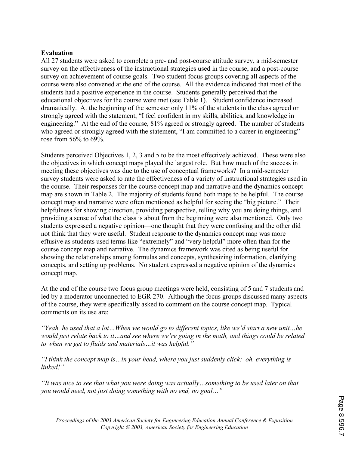#### **Evaluation**

All 27 students were asked to complete a pre- and post-course attitude survey, a mid-semester survey on the effectiveness of the instructional strategies used in the course, and a post-course survey on achievement of course goals. Two student focus groups covering all aspects of the course were also convened at the end of the course. All the evidence indicated that most of the students had a positive experience in the course. Students generally perceived that the educational objectives for the course were met (see Table 1). Student confidence increased dramatically. At the beginning of the semester only 11% of the students in the class agreed or strongly agreed with the statement, "I feel confident in my skills, abilities, and knowledge in engineering." At the end of the course, 81% agreed or strongly agreed. The number of students who agreed or strongly agreed with the statement, "I am committed to a career in engineering" rose from 56% to 69%.

Students perceived Objectives 1, 2, 3 and 5 to be the most effectively achieved. These were also the objectives in which concept maps played the largest role. But how much of the success in meeting these objectives was due to the use of conceptual frameworks? In a mid-semester survey students were asked to rate the effectiveness of a variety of instructional strategies used in the course. Their responses for the course concept map and narrative and the dynamics concept map are shown in Table 2. The majority of students found both maps to be helpful. The course concept map and narrative were often mentioned as helpful for seeing the "big picture." Their helpfulness for showing direction, providing perspective, telling why you are doing things, and providing a sense of what the class is about from the beginning were also mentioned. Only two students expressed a negative opinion—one thought that they were confusing and the other did not think that they were useful. Student response to the dynamics concept map was more effusive as students used terms like "extremely" and "very helpful" more often than for the course concept map and narrative. The dynamics framework was cited as being useful for showing the relationships among formulas and concepts, synthesizing information, clarifying concepts, and setting up problems. No student expressed a negative opinion of the dynamics concept map.

At the end of the course two focus group meetings were held, consisting of 5 and 7 students and led by a moderator unconnected to EGR 270. Although the focus groups discussed many aspects of the course, they were specifically asked to comment on the course concept map. Typical comments on its use are:

*"Yeah, he used that a lot…When we would go to different topics, like we'd start a new unit…he would just relate back to it…and see where we're going in the math, and things could be related to when we get to fluids and materials…it was helpful."* 

*"I think the concept map is…in your head, where you just suddenly click: oh, everything is linked!"* 

*"It was nice to see that what you were doing was actually…something to be used later on that you would need, not just doing something with no end, no goal…"*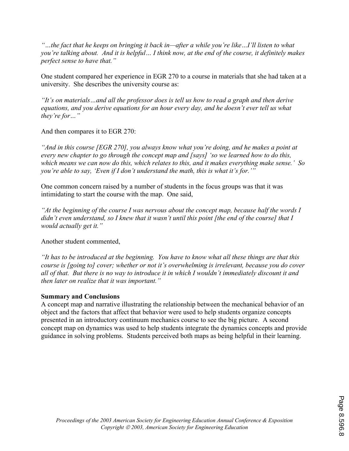*"…the fact that he keeps on bringing it back in—after a while you're like…I'll listen to what you're talking about. And it is helpful… I think now, at the end of the course, it definitely makes perfect sense to have that."*

One student compared her experience in EGR 270 to a course in materials that she had taken at a university. She describes the university course as:

*"It's on materials…and all the professor does is tell us how to read a graph and then derive equations, and you derive equations for an hour every day, and he doesn't ever tell us what they're for…"* 

And then compares it to EGR 270:

*"And in this course [EGR 270], you always know what you're doing, and he makes a point at every new chapter to go through the concept map and [says] 'so we learned how to do this, which means we can now do this, which relates to this, and it makes everything make sense.' So you're able to say, 'Even if I don't understand the math, this is what it's for.'"* 

One common concern raised by a number of students in the focus groups was that it was intimidating to start the course with the map. One said,

*"At the beginning of the course I was nervous about the concept map, because half the words I didn't even understand, so I knew that it wasn't until this point [the end of the course] that I would actually get it."* 

Another student commented,

*"It has to be introduced at the beginning. You have to know what all these things are that this course is [going to] cover; whether or not it's overwhelming is irrelevant, because you do cover all of that. But there is no way to introduce it in which I wouldn't immediately discount it and then later on realize that it was important."* 

## **Summary and Conclusions**

A concept map and narrative illustrating the relationship between the mechanical behavior of an object and the factors that affect that behavior were used to help students organize concepts presented in an introductory continuum mechanics course to see the big picture. A second concept map on dynamics was used to help students integrate the dynamics concepts and provide guidance in solving problems. Students perceived both maps as being helpful in their learning.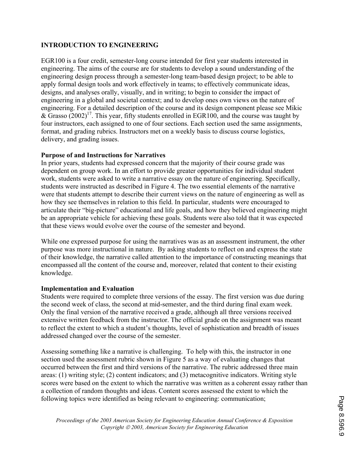## **INTRODUCTION TO ENGINEERING**

EGR100 is a four credit, semester-long course intended for first year students interested in engineering. The aims of the course are for students to develop a sound understanding of the engineering design process through a semester-long team-based design project; to be able to apply formal design tools and work effectively in teams; to effectively communicate ideas, designs, and analyses orally, visually, and in writing; to begin to consider the impact of engineering in a global and societal context; and to develop ones own views on the nature of engineering. For a detailed description of the course and its design component please see Mikic & Grasso  $(2002)^{17}$ . This year, fifty students enrolled in EGR100, and the course was taught by four instructors, each assigned to one of four sections. Each section used the same assignments, format, and grading rubrics. Instructors met on a weekly basis to discuss course logistics, delivery, and grading issues.

## **Purpose of and Instructions for Narratives**

In prior years, students had expressed concern that the majority of their course grade was dependent on group work. In an effort to provide greater opportunities for individual student work, students were asked to write a narrative essay on the nature of engineering. Specifically, students were instructed as described in Figure 4. The two essential elements of the narrative were that students attempt to describe their current views on the nature of engineering as well as how they see themselves in relation to this field. In particular, students were encouraged to articulate their "big-picture" educational and life goals, and how they believed engineering might be an appropriate vehicle for achieving these goals. Students were also told that it was expected that these views would evolve over the course of the semester and beyond.

While one expressed purpose for using the narratives was as an assessment instrument, the other purpose was more instructional in nature. By asking students to reflect on and express the state of their knowledge, the narrative called attention to the importance of constructing meanings that encompassed all the content of the course and, moreover, related that content to their existing knowledge.

#### **Implementation and Evaluation**

Students were required to complete three versions of the essay. The first version was due during the second week of class, the second at mid-semester, and the third during final exam week. Only the final version of the narrative received a grade, although all three versions received extensive written feedback from the instructor. The official grade on the assignment was meant to reflect the extent to which a student's thoughts, level of sophistication and breadth of issues addressed changed over the course of the semester.

Assessing something like a narrative is challenging. To help with this, the instructor in one section used the assessment rubric shown in Figure 5 as a way of evaluating changes that occurred between the first and third versions of the narrative. The rubric addressed three main areas: (1) writing style; (2) content indicators; and (3) metacognitive indicators. Writing style scores were based on the extent to which the narrative was written as a coherent essay rather than a collection of random thoughts and ideas. Content scores assessed the extent to which the following topics were identified as being relevant to engineering: communication;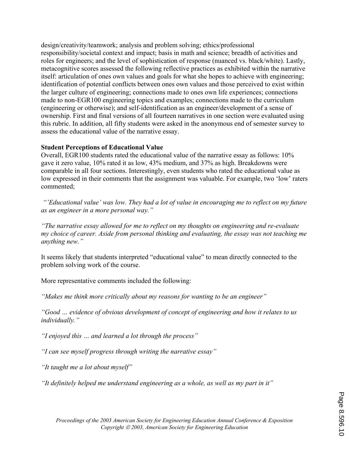design/creativity/teamwork; analysis and problem solving; ethics/professional responsibility/societal context and impact; basis in math and science; breadth of activities and roles for engineers; and the level of sophistication of response (nuanced vs. black/white). Lastly, metacognitive scores assessed the following reflective practices as exhibited within the narrative itself: articulation of ones own values and goals for what she hopes to achieve with engineering; identification of potential conflicts between ones own values and those perceived to exist within the larger culture of engineering; connections made to ones own life experiences; connections made to non-EGR100 engineering topics and examples; connections made to the curriculum (engineering or otherwise); and self-identification as an engineer/development of a sense of ownership. First and final versions of all fourteen narratives in one section were evaluated using this rubric. In addition, all fifty students were asked in the anonymous end of semester survey to assess the educational value of the narrative essay.

## **Student Perceptions of Educational Value**

Overall, EGR100 students rated the educational value of the narrative essay as follows: 10% gave it zero value, 10% rated it as low, 43% medium, and 37% as high. Breakdowns were comparable in all four sections. Interestingly, even students who rated the educational value as low expressed in their comments that the assignment was valuable. For example, two 'low' raters commented;

 *"'Educational value' was low. They had a lot of value in encouraging me to reflect on my future as an engineer in a more personal way."* 

*"The narrative essay allowed for me to reflect on my thoughts on engineering and re-evaluate my choice of career. Aside from personal thinking and evaluating, the essay was not teaching me anything new."* 

It seems likely that students interpreted "educational value" to mean directly connected to the problem solving work of the course.

More representative comments included the following:

*"Makes me think more critically about my reasons for wanting to be an engineer"* 

*"Good … evidence of obvious development of concept of engineering and how it relates to us individually."* 

*"I enjoyed this … and learned a lot through the process"* 

*"I can see myself progress through writing the narrative essay"* 

*"It taught me a lot about myself"* 

*"It definitely helped me understand engineering as a whole, as well as my part in it"*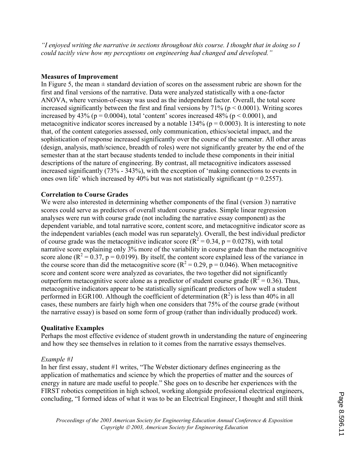*"I enjoyed writing the narrative in sections throughout this course. I thought that in doing so I could tacitly view how my perceptions on engineering had changed and developed."* 

## **Measures of Improvement**

In Figure 5, the mean  $\pm$  standard deviation of scores on the assessment rubric are shown for the first and final versions of the narrative. Data were analyzed statistically with a one-factor ANOVA, where version-of-essay was used as the independent factor. Overall, the total score increased significantly between the first and final versions by  $71\%$  ( $p < 0.0001$ ). Writing scores increased by 43% ( $p = 0.0004$ ), total 'content' scores increased 48% ( $p < 0.0001$ ), and metacognitive indicator scores increased by a notable 134% ( $p = 0.0003$ ). It is interesting to note that, of the content categories assessed, only communication, ethics/societal impact, and the sophistication of response increased significantly over the course of the semester. All other areas (design, analysis, math/science, breadth of roles) were not significantly greater by the end of the semester than at the start because students tended to include these components in their initial descriptions of the nature of engineering. By contrast, all metacognitive indicators assessed increased significantly (73% - 343%), with the exception of 'making connections to events in ones own life' which increased by 40% but was not statistically significant ( $p = 0.2557$ ).

## **Correlation to Course Grades**

We were also interested in determining whether components of the final (version 3) narrative scores could serve as predictors of overall student course grades. Simple linear regression analyses were run with course grade (not including the narrative essay component) as the dependent variable, and total narrative score, content score, and metacognitive indicator score as the independent variables (each model was run separately). Overall, the best individual predictor of course grade was the metacognitive indicator score ( $\overrightarrow{R}^2$  = 0.34, p = 0.0278), with total narrative score explaining only 3% more of the variability in course grade than the metacognitive score alone ( $R^2 = 0.37$ ,  $p = 0.0199$ ). By itself, the content score explained less of the variance in the course score than did the metacognitive score ( $R^2 = 0.29$ ,  $p = 0.046$ ). When metacognitive score and content score were analyzed as covariates, the two together did not significantly outperform metacognitive score alone as a predictor of student course grade ( $R^2 = 0.36$ ). Thus, metacognitive indicators appear to be statistically significant predictors of how well a student performed in EGR100. Although the coefficient of determination  $(R^2)$  is less than 40% in all cases, these numbers are fairly high when one considers that 75% of the course grade (without the narrative essay) is based on some form of group (rather than individually produced) work.

## **Qualitative Examples**

Perhaps the most effective evidence of student growth in understanding the nature of engineering and how they see themselves in relation to it comes from the narrative essays themselves.

## *Example #1*

In her first essay, student #1 writes, "The Webster dictionary defines engineering as the application of mathematics and science by which the properties of matter and the sources of energy in nature are made useful to people." She goes on to describe her experiences with the FIRST robotics competition in high school, working alongside professional electrical engineers, concluding, "I formed ideas of what it was to be an Electrical Engineer, I thought and still think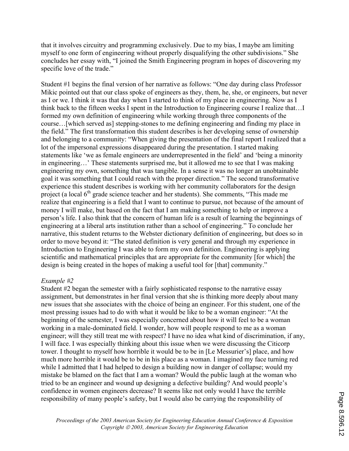that it involves circuitry and programming exclusively. Due to my bias, I maybe am limiting myself to one form of engineering without properly disqualifying the other subdivisions." She concludes her essay with, "I joined the Smith Engineering program in hopes of discovering my specific love of the trade."

Student #1 begins the final version of her narrative as follows: "One day during class Professor Mikic pointed out that our class spoke of engineers as they, them, he, she, or engineers, but never as I or we. I think it was that day when I started to think of my place in engineering. Now as I think back to the fifteen weeks I spent in the Introduction to Engineering course I realize that…I formed my own definition of engineering while working through three components of the course…[which served as] stepping-stones to me defining engineering and finding my place in the field." The first transformation this student describes is her developing sense of ownership and belonging to a community: "When giving the presentation of the final report I realized that a lot of the impersonal expressions disappeared during the presentation. I started making statements like 'we as female engineers are underrepresented in the field' and 'being a minority in engineering…' These statements surprised me, but it allowed me to see that I was making engineering my own, something that was tangible. In a sense it was no longer an unobtainable goal it was something that I could reach with the proper direction." The second transformative experience this student describes is working with her community collaborators for the design project (a local  $6<sup>th</sup>$  grade science teacher and her students). She comments, "This made me realize that engineering is a field that I want to continue to pursue, not because of the amount of money I will make, but based on the fact that I am making something to help or improve a person's life. I also think that the concern of human life is a result of learning the beginnings of engineering at a liberal arts institution rather than a school of engineering." To conclude her narrative, this student returns to the Webster dictionary definition of engineering, but does so in order to move beyond it: "The stated definition is very general and through my experience in Introduction to Engineering I was able to form my own definition. Engineering is applying scientific and mathematical principles that are appropriate for the community [for which] the design is being created in the hopes of making a useful tool for [that] community."

## *Example #2*

Student #2 began the semester with a fairly sophisticated response to the narrative essay assignment, but demonstrates in her final version that she is thinking more deeply about many new issues that she associates with the choice of being an engineer. For this student, one of the most pressing issues had to do with what it would be like to be a woman engineer: "At the beginning of the semester, I was especially concerned about how it will feel to be a woman working in a male-dominated field. I wonder, how will people respond to me as a woman engineer; will they still treat me with respect? I have no idea what kind of discrimination, if any, I will face. I was especially thinking about this issue when we were discussing the Citicorp tower. I thought to myself how horrible it would be to be in [Le Messurier's] place, and how much more horrible it would be to be in his place as a woman. I imagined my face turning red while I admitted that I had helped to design a building now in danger of collapse; would my mistake be blamed on the fact that I am a woman? Would the public laugh at the woman who tried to be an engineer and wound up designing a defective building? And would people's confidence in women engineers decrease? It seems like not only would I have the terrible responsibility of many people's safety, but I would also be carrying the responsibility of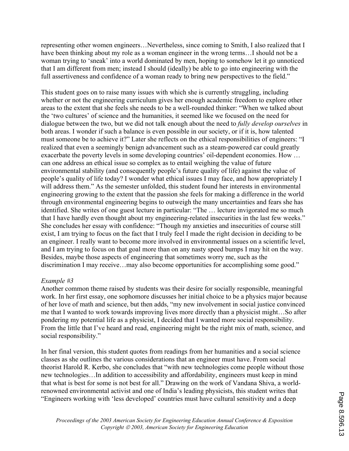representing other women engineers…Nevertheless, since coming to Smith, I also realized that I have been thinking about my role as a woman engineer in the wrong terms...I should not be a woman trying to 'sneak' into a world dominated by men, hoping to somehow let it go unnoticed that I am different from men; instead I should (ideally) be able to go into engineering with the full assertiveness and confidence of a woman ready to bring new perspectives to the field."

This student goes on to raise many issues with which she is currently struggling, including whether or not the engineering curriculum gives her enough academic freedom to explore other areas to the extent that she feels she needs to be a well-rounded thinker: "When we talked about the 'two cultures' of science and the humanities, it seemed like we focused on the need for dialogue between the two, but we did not talk enough about the need to *fully develop ourselves* in both areas. I wonder if such a balance is even possible in our society, or if it is, how talented must someone be to achieve it?" Later she reflects on the ethical responsibilities of engineers: "I realized that even a seemingly benign advancement such as a steam-powered car could greatly exacerbate the poverty levels in some developing countries' oil-dependent economies. How … can one address an ethical issue so complex as to entail weighing the value of future environmental stability (and consequently people's future quality of life) against the value of people's quality of life today? I wonder what ethical issues I may face, and how appropriately I will address them." As the semester unfolded, this student found her interests in environmental engineering growing to the extent that the passion she feels for making a difference in the world through environmental engineering begins to outweigh the many uncertainties and fears she has identified. She writes of one guest lecture in particular: "The … lecture invigorated me so much that I have hardly even thought about my engineering-related insecurities in the last few weeks." She concludes her essay with confidence: "Though my anxieties and insecurities of course still exist, I am trying to focus on the fact that I truly feel I made the right decision in deciding to be an engineer. I really want to become more involved in environmental issues on a scientific level, and I am trying to focus on that goal more than on any nasty speed bumps I may hit on the way. Besides, maybe those aspects of engineering that sometimes worry me, such as the discrimination I may receive…may also become opportunities for accomplishing some good."

#### *Example #3*

Another common theme raised by students was their desire for socially responsible, meaningful work. In her first essay, one sophomore discusses her initial choice to be a physics major because of her love of math and science, but then adds, "my new involvement in social justice convinced me that I wanted to work towards improving lives more directly than a physicist might…So after pondering my potential life as a physicist, I decided that I wanted more social responsibility. From the little that I've heard and read, engineering might be the right mix of math, science, and social responsibility."

In her final version, this student quotes from readings from her humanities and a social science classes as she outlines the various considerations that an engineer must have. From social theorist Harold R. Kerbo, she concludes that "with new technologies come people without those new technologies…In addition to accessibility and affordability, engineers must keep in mind that what is best for some is not best for all." Drawing on the work of Vandana Shiva, a worldrenowned environmental activist and one of India's leading physicists, this student writes that "Engineers working with 'less developed' countries must have cultural sensitivity and a deep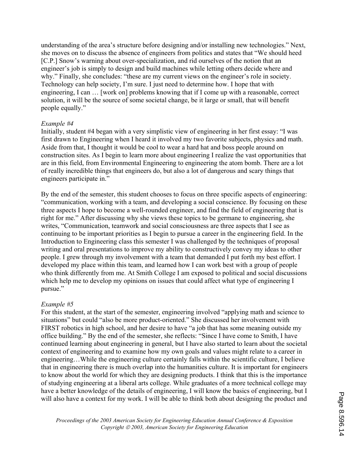understanding of the area's structure before designing and/or installing new technologies." Next, she moves on to discuss the absence of engineers from politics and states that "We should heed [C.P.] Snow's warning about over-specialization, and rid ourselves of the notion that an engineer's job is simply to design and build machines while letting others decide where and why." Finally, she concludes: "these are my current views on the engineer's role in society. Technology can help society, I'm sure. I just need to determine how. I hope that with engineering, I can … [work on] problems knowing that if I come up with a reasonable, correct solution, it will be the source of some societal change, be it large or small, that will benefit people equally."

#### *Example #4*

Initially, student #4 began with a very simplistic view of engineering in her first essay: "I was first drawn to Engineering when I heard it involved my two favorite subjects, physics and math. Aside from that, I thought it would be cool to wear a hard hat and boss people around on construction sites. As I begin to learn more about engineering I realize the vast opportunities that are in this field, from Environmental Engineering to engineering the atom bomb. There are a lot of really incredible things that engineers do, but also a lot of dangerous and scary things that engineers participate in."

By the end of the semester, this student chooses to focus on three specific aspects of engineering: "communication, working with a team, and developing a social conscience. By focusing on these three aspects I hope to become a well-rounded engineer, and find the field of engineering that is right for me." After discussing why she views these topics to be germane to engineering, she writes, "Communication, teamwork and social consciousness are three aspects that I see as continuing to be important priorities as I begin to pursue a career in the engineering field. In the Introduction to Engineering class this semester I was challenged by the techniques of proposal writing and oral presentations to improve my ability to constructively convey my ideas to other people. I grew through my involvement with a team that demanded I put forth my best effort. I developed my place within this team, and learned how I can work best with a group of people who think differently from me. At Smith College I am exposed to political and social discussions which help me to develop my opinions on issues that could affect what type of engineering I pursue."

#### *Example #5*

For this student, at the start of the semester, engineering involved "applying math and science to situations" but could "also be more product-oriented." She discussed her involvement with FIRST robotics in high school, and her desire to have "a job that has some meaning outside my office building." By the end of the semester, she reflects: "Since I have come to Smith, I have continued learning about engineering in general, but I have also started to learn about the societal context of engineering and to examine how my own goals and values might relate to a career in engineering…While the engineering culture certainly falls within the scientific culture, I believe that in engineering there is much overlap into the humanities culture. It is important for engineers to know about the world for which they are designing products. I think that this is the importance of studying engineering at a liberal arts college. While graduates of a more technical college may have a better knowledge of the details of engineering, I will know the basics of engineering, but I will also have a context for my work. I will be able to think both about designing the product and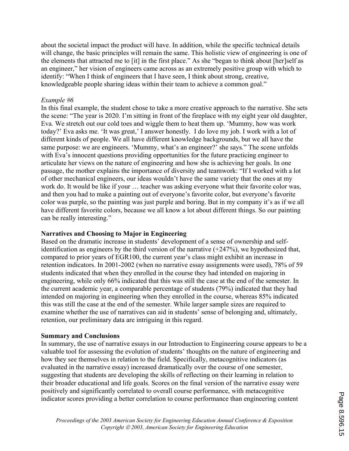about the societal impact the product will have. In addition, while the specific technical details will change, the basic principles will remain the same. This holistic view of engineering is one of the elements that attracted me to [it] in the first place." As she "began to think about [her]self as an engineer," her vision of engineers came across as an extremely positive group with which to identify: "When I think of engineers that I have seen, I think about strong, creative, knowledgeable people sharing ideas within their team to achieve a common goal."

#### *Example #6*

In this final example, the student chose to take a more creative approach to the narrative. She sets the scene: "The year is 2020. I'm sitting in front of the fireplace with my eight year old daughter, Eva. We stretch out our cold toes and wiggle them to heat them up. 'Mummy, how was work today?' Eva asks me. 'It was great,' I answer honestly. I do love my job. I work with a lot of different kinds of people. We all have different knowledge backgrounds, but we all have the same purpose: we are engineers. 'Mummy, what's an engineer?' she says.'' The scene unfolds with Eva's innocent questions providing opportunities for the future practicing engineer to articulate her views on the nature of engineering and how she is achieving her goals. In one passage, the mother explains the importance of diversity and teamwork: "If I worked with a lot of other mechanical engineers, our ideas wouldn't have the same variety that the ones at my work do. It would be like if your … teacher was asking everyone what their favorite color was, and then you had to make a painting out of everyone's favorite color, but everyone's favorite color was purple, so the painting was just purple and boring. But in my company it's as if we all have different favorite colors, because we all know a lot about different things. So our painting can be really interesting."

#### **Narratives and Choosing to Major in Engineering**

Based on the dramatic increase in students' development of a sense of ownership and selfidentification as engineers by the third version of the narrative (+247%), we hypothesized that, compared to prior years of EGR100, the current year's class might exhibit an increase in retention indicators. In 2001-2002 (when no narrative essay assignments were used), 78% of 59 students indicated that when they enrolled in the course they had intended on majoring in engineering, while only 66% indicated that this was still the case at the end of the semester. In the current academic year, a comparable percentage of students (79%) indicated that they had intended on majoring in engineering when they enrolled in the course, whereas 85% indicated this was still the case at the end of the semester. While larger sample sizes are required to examine whether the use of narratives can aid in students' sense of belonging and, ultimately, retention, our preliminary data are intriguing in this regard.

#### **Summary and Conclusions**

In summary, the use of narrative essays in our Introduction to Engineering course appears to be a valuable tool for assessing the evolution of students' thoughts on the nature of engineering and how they see themselves in relation to the field. Specifically, metacognitive indicators (as evaluated in the narrative essay) increased dramatically over the course of one semester, suggesting that students are developing the skills of reflecting on their learning in relation to their broader educational and life goals. Scores on the final version of the narrative essay were positively and significantly correlated to overall course performance, with metacognitive indicator scores providing a better correlation to course performance than engineering content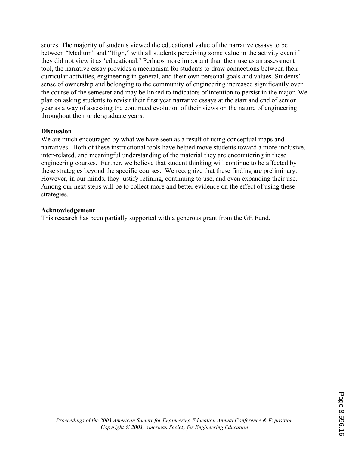scores. The majority of students viewed the educational value of the narrative essays to be between "Medium" and "High," with all students perceiving some value in the activity even if they did not view it as 'educational.' Perhaps more important than their use as an assessment tool, the narrative essay provides a mechanism for students to draw connections between their curricular activities, engineering in general, and their own personal goals and values. Students' sense of ownership and belonging to the community of engineering increased significantly over the course of the semester and may be linked to indicators of intention to persist in the major. We plan on asking students to revisit their first year narrative essays at the start and end of senior year as a way of assessing the continued evolution of their views on the nature of engineering throughout their undergraduate years.

#### **Discussion**

We are much encouraged by what we have seen as a result of using conceptual maps and narratives. Both of these instructional tools have helped move students toward a more inclusive, inter-related, and meaningful understanding of the material they are encountering in these engineering courses. Further, we believe that student thinking will continue to be affected by these strategies beyond the specific courses. We recognize that these finding are preliminary. However, in our minds, they justify refining, continuing to use, and even expanding their use. Among our next steps will be to collect more and better evidence on the effect of using these strategies.

#### **Acknowledgement**

This research has been partially supported with a generous grant from the GE Fund.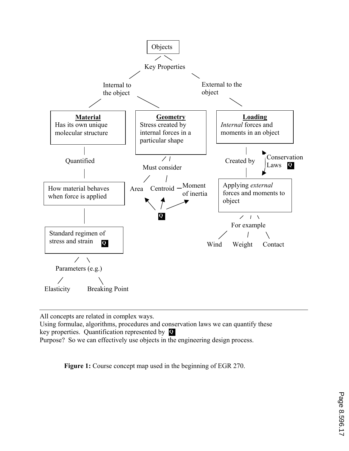

All concepts are related in complex ways.

Using formulae, algorithms, procedures and conservation laws we can quantify these key properties. Quantification represented by **Q** 

Purpose? So we can effectively use objects in the engineering design process.

**Figure 1:** Course concept map used in the beginning of EGR 270.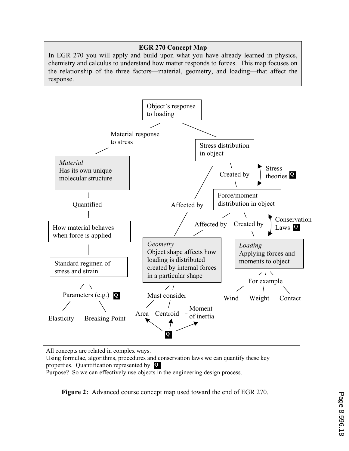## **EGR 270 Concept Map**

In EGR 270 you will apply and build upon what you have already learned in physics, chemistry and calculus to understand how matter responds to forces. This map focuses on the relationship of the three factors—material, geometry, and loading—that affect the response.



All concepts are related in complex ways.

Using formulae, algorithms, procedures and conservation laws we can quantify these key properties. Quantification represented by **Q** 

Purpose? So we can effectively use objects in the engineering design process.

**Figure 2:** Advanced course concept map used toward the end of EGR 270.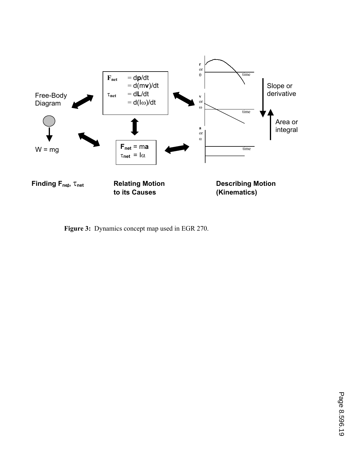

**Figure 3:** Dynamics concept map used in EGR 270.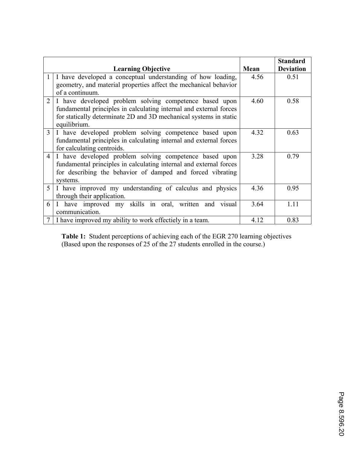|                |                                                                                                                                                                                                                   |      | <b>Standard</b>  |
|----------------|-------------------------------------------------------------------------------------------------------------------------------------------------------------------------------------------------------------------|------|------------------|
|                | <b>Learning Objective</b>                                                                                                                                                                                         | Mean | <b>Deviation</b> |
|                | I have developed a conceptual understanding of how loading,<br>geometry, and material properties affect the mechanical behavior                                                                                   | 4.56 | 0.51             |
|                | of a continuum.                                                                                                                                                                                                   |      |                  |
| $\overline{2}$ | I have developed problem solving competence based upon<br>fundamental principles in calculating internal and external forces<br>for statically determinate 2D and 3D mechanical systems in static<br>equilibrium. | 4.60 | 0.58             |
| 3              | I have developed problem solving competence based upon<br>fundamental principles in calculating internal and external forces<br>for calculating centroids.                                                        | 4.32 | 0.63             |
| $\overline{4}$ | I have developed problem solving competence based upon<br>fundamental principles in calculating internal and external forces<br>for describing the behavior of damped and forced vibrating<br>systems.            | 3.28 | 0.79             |
| 5              | I have improved my understanding of calculus and physics<br>through their application.                                                                                                                            | 4.36 | 0.95             |
| 6              | I have improved my skills in oral, written and<br>visual<br>communication.                                                                                                                                        | 3.64 | 1.11             |
|                | I have improved my ability to work effectiely in a team.                                                                                                                                                          | 4.12 | 0.83             |

**Table 1:** Student perceptions of achieving each of the EGR 270 learning objectives (Based upon the responses of 25 of the 27 students enrolled in the course.)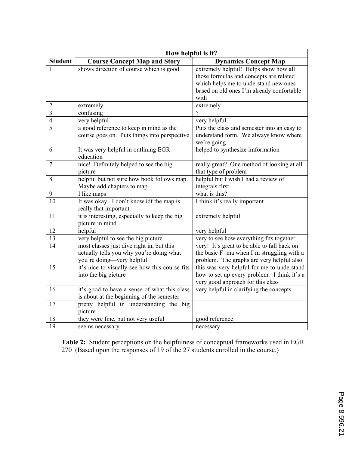|                | How helpful is it?                             |                                             |  |  |  |
|----------------|------------------------------------------------|---------------------------------------------|--|--|--|
| <b>Student</b> | <b>Course Concept Map and Story</b>            | <b>Dynamics Concept Map</b>                 |  |  |  |
|                | shows direction of course which is good        | extremely helpful! Helps show how all       |  |  |  |
|                |                                                | those formulas and concepts are related     |  |  |  |
|                |                                                | which helps me to understand new ones       |  |  |  |
|                |                                                | based on old ones I'm already confortable   |  |  |  |
|                |                                                | with                                        |  |  |  |
| $\overline{2}$ | extremely                                      | extremely                                   |  |  |  |
| 3              | confusing                                      | ?                                           |  |  |  |
| $\overline{4}$ | very helpful                                   | very helpful                                |  |  |  |
| 5              | a good reference to keep in mind as the        | Puts the class and semester into an easy to |  |  |  |
|                | course goes on. Puts things into perspective   | understand form. We always know where       |  |  |  |
|                |                                                | we're going                                 |  |  |  |
| 6              | It was very helpful in outlining EGR           | helped to synthesize imformation            |  |  |  |
|                | education                                      |                                             |  |  |  |
| 7              | nice! Definitely helped to see the big         | really great? One method of looking at all  |  |  |  |
|                | picture                                        | that type of problem                        |  |  |  |
| 8              | helpful but not sure how book follows map.     | helpful but I wish I had a review of        |  |  |  |
|                | Maybe add chapters to map                      | integrals first                             |  |  |  |
| 9              | I like maps                                    | what is this?                               |  |  |  |
| 10             | It was okay. I don't know idf the map is       | I think it's really important               |  |  |  |
|                | really that important.                         |                                             |  |  |  |
| 11             | it is interesting, especially to keep the big  | extremely helpful                           |  |  |  |
|                | picture in mind                                |                                             |  |  |  |
| 12             | helpful                                        | very helpful                                |  |  |  |
| 13             | very helpful to see the big picture            | very to see how everything fits together    |  |  |  |
| 14             | most classes just dive right in, but this      | very! It's great to be able to fall back on |  |  |  |
|                | actually tells you why you're doing what       | the basic F=ma when I'm struggling with a   |  |  |  |
|                | you're doing—very helpful                      | problem. The graphs are very helpful also   |  |  |  |
| 15             | it's nice to visually see how this course fits | this was very helpful for me to understand  |  |  |  |
|                | into the big picture                           | how to set up every problem. I think it's a |  |  |  |
|                |                                                | very good approach for this class           |  |  |  |
| 16             | it's good to have a sense of what this class   | very helpful in clarifying the concepts     |  |  |  |
|                | is about at the beginning of the semester      |                                             |  |  |  |
| 17             | pretty helpful in understanding the big        |                                             |  |  |  |
|                | picture                                        |                                             |  |  |  |
| 18             | they were fine, but not very useful            | good reference                              |  |  |  |
| 19             | seems necessary                                | necessary                                   |  |  |  |

**Table 2:** Student perceptions on the helpfulness of conceptual frameworks used in EGR 270 (Based upon the responses of 19 of the 27 students enrolled in the course.)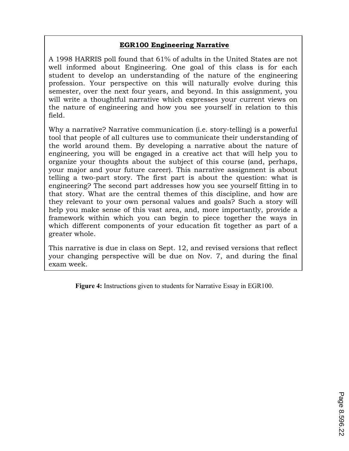## **EGR100 Engineering Narrative**

A 1998 HARRIS poll found that 61% of adults in the United States are not well informed about Engineering. One goal of this class is for each student to develop an understanding of the nature of the engineering profession. Your perspective on this will naturally evolve during this semester, over the next four years, and beyond. In this assignment, you will write a thoughtful narrative which expresses your current views on the nature of engineering and how you see yourself in relation to this field.

Why a narrative? Narrative communication (i.e. story-telling) is a powerful tool that people of all cultures use to communicate their understanding of the world around them. By developing a narrative about the nature of engineering, you will be engaged in a creative act that will help you to organize your thoughts about the subject of this course (and, perhaps, your major and your future career). This narrative assignment is about telling a two-part story. The first part is about the question: what is engineering? The second part addresses how you see yourself fitting in to that story. What are the central themes of this discipline, and how are they relevant to your own personal values and goals? Such a story will help you make sense of this vast area, and, more importantly, provide a framework within which you can begin to piece together the ways in which different components of your education fit together as part of a greater whole.

This narrative is due in class on Sept. 12, and revised versions that reflect your changing perspective will be due on Nov. 7, and during the final exam week.

**Figure 4:** Instructions given to students for Narrative Essay in EGR100.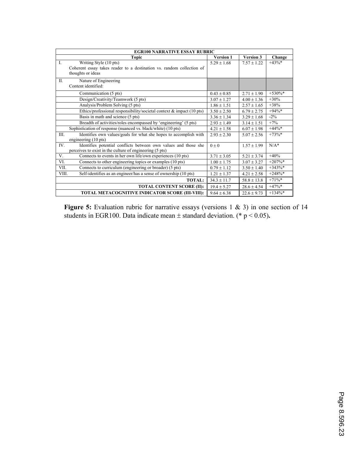| <b>EGR100 NARRATIVE ESSAY RUBRIC</b>                                      |                  |                 |            |  |  |  |  |
|---------------------------------------------------------------------------|------------------|-----------------|------------|--|--|--|--|
| <b>Topic</b>                                                              | <b>Version 1</b> | Version 3       | Change     |  |  |  |  |
| $\mathbf{I}$ .<br>Writing Style (10 pts)                                  | $5.29 + 1.68$    | $7.57 \pm 1.22$ | $+43%$     |  |  |  |  |
| Coherent essay takes reader to a destination vs. random collection of     |                  |                 |            |  |  |  |  |
| thoughts or ideas                                                         |                  |                 |            |  |  |  |  |
| $\Pi$ .<br>Nature of Engineering                                          |                  |                 |            |  |  |  |  |
| Content identified:                                                       |                  |                 |            |  |  |  |  |
| Communication (5 pts)                                                     | $0.43 \pm 0.85$  | $2.71 \pm 1.90$ | $+530\%*$  |  |  |  |  |
| Design/Creativity/Teamwork (5 pts)                                        | $3.07 \pm 1.27$  | $4.00 \pm 1.36$ | $+30%$     |  |  |  |  |
| Analysis/Problem Solving (5 pts)                                          | $1.86 \pm 1.51$  | $2.57 \pm 1.65$ | $+38%$     |  |  |  |  |
| Ethics/professional responsibility/societal context $\&$ impact (10 pts)  | $3.50 \pm 2.50$  | $6.79 \pm 2.75$ | $+94%$ *   |  |  |  |  |
| Basis in math and science (5 pts)                                         | $3.36 \pm 1.34$  | $3.29 \pm 1.68$ | $-2\%$     |  |  |  |  |
| Breadth of activities/roles encompassed by 'engineering' (5 pts)          | $2.93 \pm 1.49$  | $3.14 + 1.51$   | $+7%$      |  |  |  |  |
| Sophistication of response (nuanced vs. black/white) (10 pts)             | $4.21 \pm 1.58$  | $6.07 \pm 1.98$ | $+44\%*$   |  |  |  |  |
| Identifies own values/goals for what she hopes to accomplish with<br>III. | $2.93 + 2.30$    | $5.07 + 2.56$   | $+73%$     |  |  |  |  |
| engineering (10 pts)                                                      |                  |                 |            |  |  |  |  |
| Identifies potential conflicts between own values and those she<br>IV.    | $0 + 0$          | $1.57 + 1.99$   | $N/A^*$    |  |  |  |  |
| perceives to exist in the culture of engineering (5 pts)                  |                  |                 |            |  |  |  |  |
| V.<br>Connects to events in her own life/own experiences (10 pts)         | $3.71 \pm 3.05$  | $5.21 \pm 3.74$ | $+40%$     |  |  |  |  |
| VI.<br>Connects to other engineering topics or examples (10 pts)          | $1.00 \pm 1.75$  | $3.07 \pm 3.27$ | $+207\%*$  |  |  |  |  |
| VII.<br>Connects to curriculum (engineering or broader) (5 pts)           | $0.79 \pm 1.12$  | $3.50 \pm 1.40$ | $+343%$ *  |  |  |  |  |
| Self-identifies as an engineer/has a sense of ownership (10 pts)<br>VIII. | $1.21 \pm 1.37$  | $4.21 \pm 2.58$ | $+248%$ *  |  |  |  |  |
| <b>TOTAL:</b>                                                             | $34.3 \pm 11.7$  | $58.8 \pm 13.8$ | $+71\%$ *  |  |  |  |  |
| <b>TOTAL CONTENT SCORE (II):</b>                                          | $19.4 \pm 5.27$  | $28.6 \pm 4.54$ | $+47\%*$   |  |  |  |  |
| TOTAL METACOGNITIVE INDICATOR SCORE (III-VIII):                           | $9.64 \pm 6.38$  | $22.6 \pm 9.73$ | $+134\%$ * |  |  |  |  |

**Figure 5:** Evaluation rubric for narrative essays (versions 1 & 3) in one section of 14 students in EGR100. Data indicate mean  $\pm$  standard deviation. (\* p < 0.05).